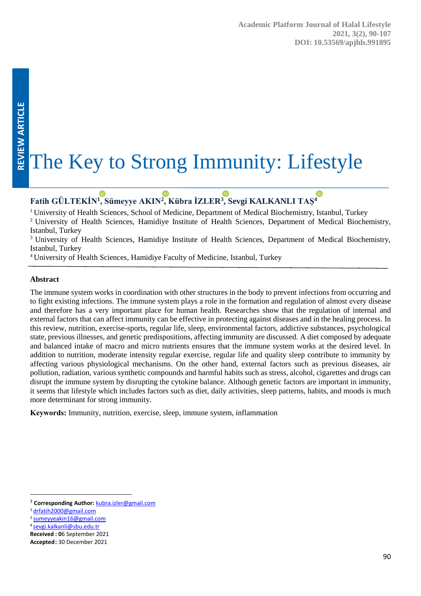# The Key to Strong Immunity: Lifestyle

## **Fatih GÜLTEKİN<sup>1</sup> [, Süm](https://orcid.org/0000-0003-2888-3215)eyye AKIN<sup>2</sup> [, Kü](https://orcid.org/0000-0002-4773-0161)bra İZLER<sup>3</sup> [, Sev](https://orcid.org/0000-0001-6031-6638)gi KALKANLI T[AŞ](https://orcid.org/0000-0001-5288-6040)<sup>4</sup>**

<sup>1</sup> University of Health Sciences, School of Medicine, Department of Medical Biochemistry, Istanbul, Turkey <sup>2</sup> University of Health Sciences, Hamidiye Institute of Health Sciences, Department of Medical Biochemistry, Istanbul, Turkey

<sup>3</sup> University of Health Sciences, Hamidiye Institute of Health Sciences, Department of Medical Biochemistry, Istanbul, Turkey

<sup>4</sup> University of Health Sciences, Hamidiye Faculty of Medicine, Istanbul, Turkey

#### **Abstract**

The immune system works in coordination with other structures in the body to prevent infections from occurring and to fight existing infections. The immune system plays a role in the formation and regulation of almost every disease and therefore has a very important place for human health. Researches show that the regulation of internal and external factors that can affect immunity can be effective in protecting against diseases and in the healing process. In this review, nutrition, exercise-sports, regular life, sleep, environmental factors, addictive substances, psychological state, previous illnesses, and genetic predispositions, affecting immunity are discussed. A diet composed by adequate and balanced intake of macro and micro nutrients ensures that the immune system works at the desired level. In addition to nutrition, moderate intensity regular exercise, regular life and quality sleep contribute to immunity by affecting various physiological mechanisms. On the other hand, external factors such as previous diseases, air pollution, radiation, various synthetic compounds and harmful habits such as stress, alcohol, cigarettes and drugs can disrupt the immune system by disrupting the cytokine balance. Although genetic factors are important in immunity, it seems that lifestyle which includes factors such as diet, daily activities, sleep patterns, habits, and moods is much more determinant for strong immunity.

**Keywords:** Immunity, nutrition, exercise, sleep, immune system, inflammation

 $\ddot{\phantom{a}}$ 

<sup>3</sup> **Corresponding Author:** [kubra.izler@gmail.com](mailto:kubra.izler@gmail.com)

<sup>1</sup> [drfatih2000@gmail.com](mailto:drfatih2000@gmail.com)

<sup>2</sup> [sumeyyeakin16@gmail.com](mailto:sumeyyeakin16@gmail.com)

<sup>4</sup> [sevgi.kalkanli@sbu.edu.tr](mailto:sevgi.kalkanli@sbu.edu.tr)

**Received : 0**6 September 2021

**Accepted:** 30 December 2021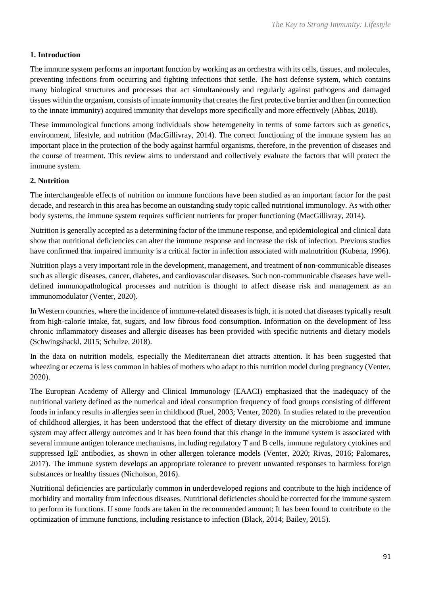## **1. Introduction**

The immune system performs an important function by working as an orchestra with its cells, tissues, and molecules, preventing infections from occurring and fighting infections that settle. The host defense system, which contains many biological structures and processes that act simultaneously and regularly against pathogens and damaged tissues within the organism, consists of innate immunity that creates the first protective barrier and then (in connection to the innate immunity) acquired immunity that develops more specifically and more effectively (Abbas, 2018).

These immunological functions among individuals show heterogeneity in terms of some factors such as genetics, environment, lifestyle, and nutrition (MacGillivray, 2014). The correct functioning of the immune system has an important place in the protection of the body against harmful organisms, therefore, in the prevention of diseases and the course of treatment. This review aims to understand and collectively evaluate the factors that will protect the immune system.

#### **2. Nutrition**

The interchangeable effects of nutrition on immune functions have been studied as an important factor for the past decade, and research in this area has become an outstanding study topic called nutritional immunology. As with other body systems, the immune system requires sufficient nutrients for proper functioning (MacGillivray, 2014).

Nutrition is generally accepted as a determining factor of the immune response, and epidemiological and clinical data show that nutritional deficiencies can alter the immune response and increase the risk of infection. Previous studies have confirmed that impaired immunity is a critical factor in infection associated with malnutrition (Kubena, 1996).

Nutrition plays a very important role in the development, management, and treatment of non-communicable diseases such as allergic diseases, cancer, diabetes, and cardiovascular diseases. Such non-communicable diseases have welldefined immunopathological processes and nutrition is thought to affect disease risk and management as an immunomodulator (Venter, 2020).

In Western countries, where the incidence of immune-related diseases is high, it is noted that diseases typically result from high-calorie intake, fat, sugars, and low fibrous food consumption. Information on the development of less chronic inflammatory diseases and allergic diseases has been provided with specific nutrients and dietary models (Schwingshackl, 2015; Schulze, 2018).

In the data on nutrition models, especially the Mediterranean diet attracts attention. It has been suggested that wheezing or eczema is less common in babies of mothers who adapt to this nutrition model during pregnancy (Venter, 2020).

The European Academy of Allergy and Clinical Immunology (EAACI) emphasized that the inadequacy of the nutritional variety defined as the numerical and ideal consumption frequency of food groups consisting of different foods in infancy results in allergies seen in childhood (Ruel, 2003; Venter, 2020). In studies related to the prevention of childhood allergies, it has been understood that the effect of dietary diversity on the microbiome and immune system may affect allergy outcomes and it has been found that this change in the immune system is associated with several immune antigen tolerance mechanisms, including regulatory T and B cells, immune regulatory cytokines and suppressed IgE antibodies, as shown in other allergen tolerance models (Venter, 2020; Rivas, 2016; Palomares, 2017). The immune system develops an appropriate tolerance to prevent unwanted responses to harmless foreign substances or healthy tissues (Nicholson, 2016).

Nutritional deficiencies are particularly common in underdeveloped regions and contribute to the high incidence of morbidity and mortality from infectious diseases. Nutritional deficiencies should be corrected for the immune system to perform its functions. If some foods are taken in the recommended amount; It has been found to contribute to the optimization of immune functions, including resistance to infection (Black, 2014; Bailey, 2015).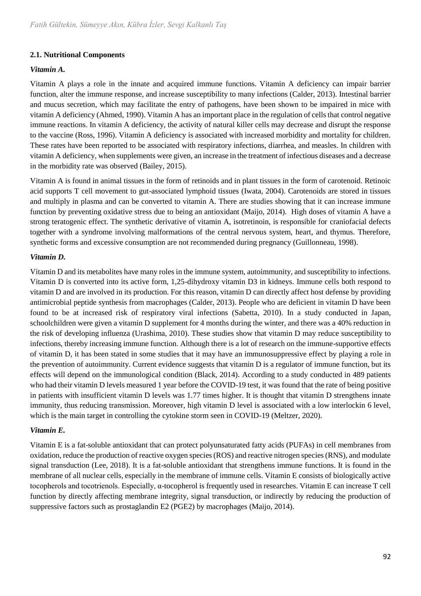## **2.1. Nutritional Components**

## *Vitamin A.*

Vitamin A plays a role in the innate and acquired immune functions. Vitamin A deficiency can impair barrier function, alter the immune response, and increase susceptibility to many infections (Calder, 2013). Intestinal barrier and mucus secretion, which may facilitate the entry of pathogens, have been shown to be impaired in mice with vitamin A deficiency (Ahmed, 1990). Vitamin A has an important place in the regulation of cells that control negative immune reactions. In vitamin A deficiency, the activity of natural killer cells may decrease and disrupt the response to the vaccine (Ross, 1996). Vitamin A deficiency is associated with increased morbidity and mortality for children. These rates have been reported to be associated with respiratory infections, diarrhea, and measles. In children with vitamin A deficiency, when supplements were given, an increase in the treatment of infectious diseases and a decrease in the morbidity rate was observed (Bailey, 2015).

Vitamin A is found in animal tissues in the form of retinoids and in plant tissues in the form of carotenoid. Retinoic acid supports T cell movement to gut-associated lymphoid tissues (Iwata, 2004). Carotenoids are stored in tissues and multiply in plasma and can be converted to vitamin A. There are studies showing that it can increase immune function by preventing oxidative stress due to being an antioxidant (Maijo, 2014). High doses of vitamin A have a strong teratogenic effect. The synthetic derivative of vitamin A, isotretinoin, is responsible for craniofacial defects together with a syndrome involving malformations of the central nervous system, heart, and thymus. Therefore, synthetic forms and excessive consumption are not recommended during pregnancy (Guillonneau, 1998).

## *Vitamin D.*

Vitamin D and its metabolites have many roles in the immune system, autoimmunity, and susceptibility to infections. Vitamin D is converted into its active form, 1,25-dihydroxy vitamin D3 in kidneys. Immune cells both respond to vitamin D and are involved in its production. For this reason, vitamin D can directly affect host defense by providing antimicrobial peptide synthesis from macrophages (Calder, 2013). People who are deficient in vitamin D have been found to be at increased risk of respiratory viral infections (Sabetta, 2010). In a study conducted in Japan, schoolchildren were given a vitamin D supplement for 4 months during the winter, and there was a 40% reduction in the risk of developing influenza (Urashima, 2010). These studies show that vitamin D may reduce susceptibility to infections, thereby increasing immune function. Although there is a lot of research on the immune-supportive effects of vitamin D, it has been stated in some studies that it may have an immunosuppressive effect by playing a role in the prevention of autoimmunity. Current evidence suggests that vitamin D is a regulator of immune function, but its effects will depend on the immunological condition (Black, 2014). According to a study conducted in 489 patients who had their vitamin D levels measured 1 year before the COVID-19 test, it was found that the rate of being positive in patients with insufficient vitamin D levels was 1.77 times higher. It is thought that vitamin D strengthens innate immunity, thus reducing transmission. Moreover, high vitamin D level is associated with a low interlockin 6 level, which is the main target in controlling the cytokine storm seen in COVID-19 (Meltzer, 2020).

## *Vitamin E.*

Vitamin E is a fat-soluble antioxidant that can protect polyunsaturated fatty acids (PUFAs) in cell membranes from oxidation, reduce the production of reactive oxygen species (ROS) and reactive nitrogen species (RNS), and modulate signal transduction (Lee, 2018). It is a fat-soluble antioxidant that strengthens immune functions. It is found in the membrane of all nuclear cells, especially in the membrane of immune cells. Vitamin E consists of biologically active tocopherols and tocotrienols. Especially, α-tocopherol is frequently used in researches. Vitamin E can increase T cell function by directly affecting membrane integrity, signal transduction, or indirectly by reducing the production of suppressive factors such as prostaglandin E2 (PGE2) by macrophages (Maijo, 2014).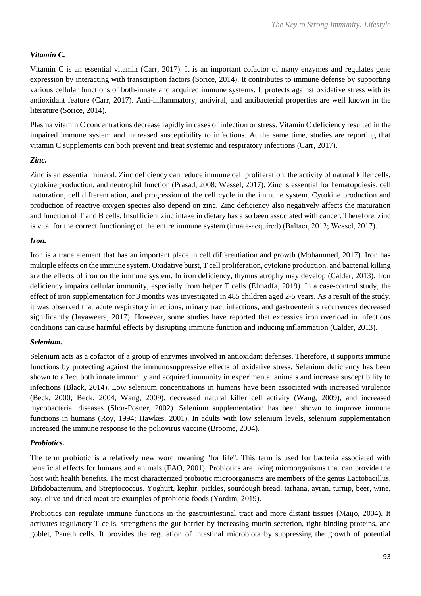## *Vitamin C.*

Vitamin C is an essential vitamin (Carr, 2017). It is an important cofactor of many enzymes and regulates gene expression by interacting with transcription factors (Sorice, 2014). It contributes to immune defense by supporting various cellular functions of both innate and acquired immune systems. It protects against oxidative stress with its antioxidant feature (Carr, 2017). Anti-inflammatory, antiviral, and antibacterial properties are well known in the literature (Sorice, 2014).

Plasma vitamin C concentrations decrease rapidly in cases of infection or stress. Vitamin C deficiency resulted in the impaired immune system and increased susceptibility to infections. At the same time, studies are reporting that vitamin C supplements can both prevent and treat systemic and respiratory infections (Carr, 2017).

## *Zinc.*

Zinc is an essential mineral. Zinc deficiency can reduce immune cell proliferation, the activity of natural killer cells, cytokine production, and neutrophil function (Prasad, 2008; Wessel, 2017). Zinc is essential for hematopoiesis, cell maturation, cell differentiation, and progression of the cell cycle in the immune system. Cytokine production and production of reactive oxygen species also depend on zinc. Zinc deficiency also negatively affects the maturation and function of T and B cells. Insufficient zinc intake in dietary has also been associated with cancer. Therefore, zinc is vital for the correct functioning of the entire immune system (innate-acquired) (Baltacı, 2012; Wessel, 2017).

## *Iron.*

Iron is a trace element that has an important place in cell differentiation and growth (Mohammed, 2017). Iron has multiple effects on the immune system. Oxidative burst, T cell proliferation, cytokine production, and bacterial killing are the effects of iron on the immune system. In iron deficiency, thymus atrophy may develop (Calder, 2013). Iron deficiency impairs cellular immunity, especially from helper T cells **(**Elmadfa, 2019). In a case-control study, the effect of iron supplementation for 3 months was investigated in 485 children aged 2-5 years. As a result of the study, it was observed that acute respiratory infections, urinary tract infections, and gastroenteritis recurrences decreased significantly (Jayaweera, 2017). However, some studies have reported that excessive iron overload in infectious conditions can cause harmful effects by disrupting immune function and inducing inflammation (Calder, 2013).

## *Selenium.*

Selenium acts as a cofactor of a group of enzymes involved in antioxidant defenses. Therefore, it supports immune functions by protecting against the immunosuppressive effects of oxidative stress. Selenium deficiency has been shown to affect both innate immunity and acquired immunity in experimental animals and increase susceptibility to infections (Black, 2014). Low selenium concentrations in humans have been associated with increased virulence (Beck, 2000; Beck, 2004; Wang, 2009), decreased natural killer cell activity (Wang, 2009), and increased mycobacterial diseases (Shor-Posner, 2002). Selenium supplementation has been shown to improve immune functions in humans (Roy, 1994; Hawkes, 2001). In adults with low selenium levels, selenium supplementation increased the immune response to the poliovirus vaccine (Broome, 2004).

## *Probiotics.*

The term probiotic is a relatively new word meaning "for life". This term is used for bacteria associated with beneficial effects for humans and animals (FAO, 2001). Probiotics are living microorganisms that can provide the host with health benefits. The most characterized probiotic microorganisms are members of the genus Lactobacillus, Bifidobacterium, and Streptococcus. Yoghurt, kephir, pickles, sourdough bread, tarhana, ayran, turnip, beer, wine, soy, olive and dried meat are examples of probiotic foods (Yardım, 2019).

Probiotics can regulate immune functions in the gastrointestinal tract and more distant tissues (Maijo, 2004). It activates regulatory T cells, strengthens the gut barrier by increasing mucin secretion, tight-binding proteins, and goblet, Paneth cells. It provides the regulation of intestinal microbiota by suppressing the growth of potential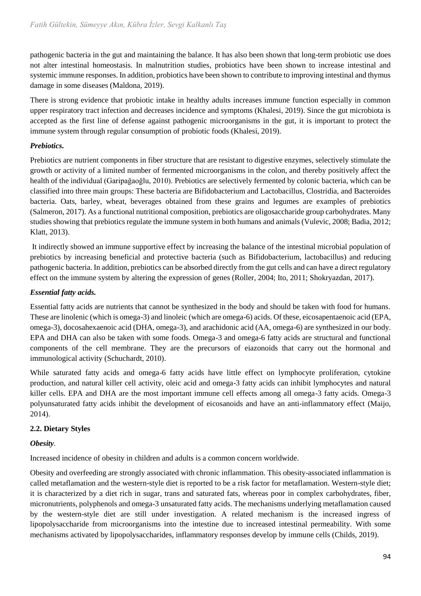pathogenic bacteria in the gut and maintaining the balance. It has also been shown that long-term probiotic use does not alter intestinal homeostasis. In malnutrition studies, probiotics have been shown to increase intestinal and systemic immune responses. In addition, probiotics have been shown to contribute to improving intestinal and thymus damage in some diseases (Maldona, 2019).

There is strong evidence that probiotic intake in healthy adults increases immune function especially in common upper respiratory tract infection and decreases incidence and symptoms (Khalesi, 2019). Since the gut microbiota is accepted as the first line of defense against pathogenic microorganisms in the gut, it is important to protect the immune system through regular consumption of probiotic foods (Khalesi, 2019).

## *Prebiotics.*

Prebiotics are nutrient components in fiber structure that are resistant to digestive enzymes, selectively stimulate the growth or activity of a limited number of fermented microorganisms in the colon, and thereby positively affect the health of the individual (Garipağaoğlu, 2010). Prebiotics are selectively fermented by colonic bacteria, which can be classified into three main groups: These bacteria are Bifidobacterium and Lactobacillus, Clostridia, and Bacteroides bacteria. Oats, barley, wheat, beverages obtained from these grains and legumes are examples of prebiotics (Salmeron, 2017). As a functional nutritional composition, prebiotics are oligosaccharide group carbohydrates. Many studies showing that prebiotics regulate the immune system in both humans and animals (Vulevic, 2008; Badia, 2012; Klatt, 2013).

It indirectly showed an immune supportive effect by increasing the balance of the intestinal microbial population of prebiotics by increasing beneficial and protective bacteria (such as Bifidobacterium, lactobacillus) and reducing pathogenic bacteria. In addition, prebiotics can be absorbed directly from the gut cells and can have a direct regulatory effect on the immune system by altering the expression of genes (Roller, 2004; Ito, 2011; Shokryazdan, 2017).

## *Essential fatty acids.*

Essential fatty acids are nutrients that cannot be synthesized in the body and should be taken with food for humans. These are linolenic (which is omega-3) and linoleic (which are omega-6) acids. Of these, eicosapentaenoic acid (EPA, omega-3), docosahexaenoic acid (DHA, omega-3), and arachidonic acid (AA, omega-6) are synthesized in our body. EPA and DHA can also be taken with some foods. Omega-3 and omega-6 fatty acids are structural and functional components of the cell membrane. They are the precursors of eiazonoids that carry out the hormonal and immunological activity (Schuchardt, 2010).

While saturated fatty acids and omega-6 fatty acids have little effect on lymphocyte proliferation, cytokine production, and natural killer cell activity, oleic acid and omega-3 fatty acids can inhibit lymphocytes and natural killer cells. EPA and DHA are the most important immune cell effects among all omega-3 fatty acids. Omega-3 polyunsaturated fatty acids inhibit the development of eicosanoids and have an anti-inflammatory effect (Maijo, 2014).

## **2.2. Dietary Styles**

## *Obesity.*

Increased incidence of obesity in children and adults is a common concern worldwide.

Obesity and overfeeding are strongly associated with chronic inflammation. This obesity-associated inflammation is called metaflamation and the western-style diet is reported to be a risk factor for metaflamation. Western-style diet; it is characterized by a diet rich in sugar, trans and saturated fats, whereas poor in complex carbohydrates, fiber, micronutrients, polyphenols and omega-3 unsaturated fatty acids. The mechanisms underlying metaflamation caused by the western-style diet are still under investigation. A related mechanism is the increased ingress of lipopolysaccharide from microorganisms into the intestine due to increased intestinal permeability. With some mechanisms activated by lipopolysaccharides, inflammatory responses develop by immune cells (Childs, 2019).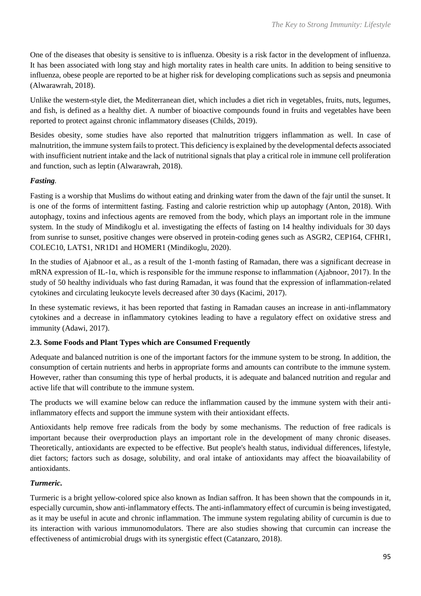One of the diseases that obesity is sensitive to is influenza. Obesity is a risk factor in the development of influenza. It has been associated with long stay and high mortality rates in health care units. In addition to being sensitive to influenza, obese people are reported to be at higher risk for developing complications such as sepsis and pneumonia (Alwarawrah, 2018).

Unlike the western-style diet, the Mediterranean diet, which includes a diet rich in vegetables, fruits, nuts, legumes, and fish, is defined as a healthy diet. A number of bioactive compounds found in fruits and vegetables have been reported to protect against chronic inflammatory diseases (Childs, 2019).

Besides obesity, some studies have also reported that malnutrition triggers inflammation as well. In case of malnutrition, the immune system fails to protect. This deficiency is explained by the developmental defects associated with insufficient nutrient intake and the lack of nutritional signals that play a critical role in immune cell proliferation and function, such as leptin (Alwarawrah, 2018).

## *Fasting.*

Fasting is a worship that Muslims do without eating and drinking water from the dawn of the fajr until the sunset. It is one of the forms of intermittent fasting. Fasting and calorie restriction whip up autophagy (Anton, 2018). With autophagy, toxins and infectious agents are removed from the body, which plays an important role in the immune system. In the study of Mindikoglu et al. investigating the effects of fasting on 14 healthy individuals for 30 days from sunrise to sunset, positive changes were observed in protein-coding genes such as ASGR2, CEP164, CFHR1, COLEC10, LATS1, NR1D1 and HOMER1 (Mindikoglu, 2020).

In the studies of Ajabnoor et al., as a result of the 1-month fasting of Ramadan, there was a significant decrease in mRNA expression of IL-1α, which is responsible for the immune response to inflammation (Ajabnoor, 2017). In the study of 50 healthy individuals who fast during Ramadan, it was found that the expression of inflammation-related cytokines and circulating leukocyte levels decreased after 30 days (Kacimi, 2017).

In these systematic reviews, it has been reported that fasting in Ramadan causes an increase in anti-inflammatory cytokines and a decrease in inflammatory cytokines leading to have a regulatory effect on oxidative stress and immunity (Adawi, 2017).

## **2.3. Some Foods and Plant Types which are Consumed Frequently**

Adequate and balanced nutrition is one of the important factors for the immune system to be strong. In addition, the consumption of certain nutrients and herbs in appropriate forms and amounts can contribute to the immune system. However, rather than consuming this type of herbal products, it is adequate and balanced nutrition and regular and active life that will contribute to the immune system.

The products we will examine below can reduce the inflammation caused by the immune system with their antiinflammatory effects and support the immune system with their antioxidant effects.

Antioxidants help remove free radicals from the body by some mechanisms. The reduction of free radicals is important because their overproduction plays an important role in the development of many chronic diseases. Theoretically, antioxidants are expected to be effective. But people's health status, individual differences, lifestyle, diet factors; factors such as dosage, solubility, and oral intake of antioxidants may affect the bioavailability of antioxidants.

## *Turmeric.*

Turmeric is a bright yellow-colored spice also known as Indian saffron. It has been shown that the compounds in it, especially curcumin, show anti-inflammatory effects. The anti-inflammatory effect of curcumin is being investigated, as it may be useful in acute and chronic inflammation. The immune system regulating ability of curcumin is due to its interaction with various immunomodulators. There are also studies showing that curcumin can increase the effectiveness of antimicrobial drugs with its synergistic effect (Catanzaro, 2018).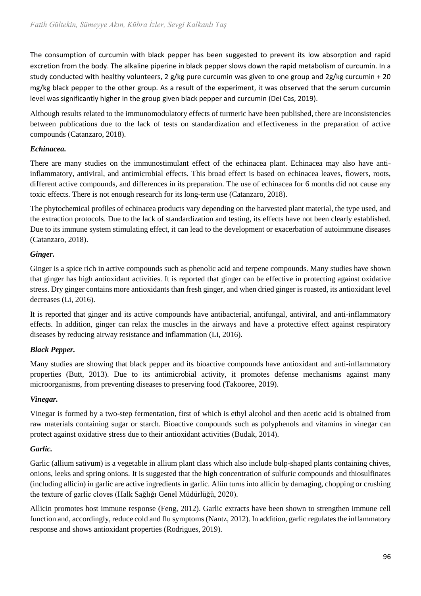The consumption of curcumin with black pepper has been suggested to prevent its low absorption and rapid excretion from the body. The alkaline piperine in black pepper slows down the rapid metabolism of curcumin. In a study conducted with healthy volunteers, 2 g/kg pure curcumin was given to one group and 2g/kg curcumin + 20 mg/kg black pepper to the other group. As a result of the experiment, it was observed that the serum curcumin level was significantly higher in the group given black pepper and curcumin (Dei Cas, 2019).

Although results related to the immunomodulatory effects of turmeric have been published, there are inconsistencies between publications due to the lack of tests on standardization and effectiveness in the preparation of active compounds (Catanzaro, 2018).

## *Echinacea.*

There are many studies on the immunostimulant effect of the echinacea plant. Echinacea may also have antiinflammatory, antiviral, and antimicrobial effects. This broad effect is based on echinacea leaves, flowers, roots, different active compounds, and differences in its preparation. The use of echinacea for 6 months did not cause any toxic effects. There is not enough research for its long-term use (Catanzaro, 2018).

The phytochemical profiles of echinacea products vary depending on the harvested plant material, the type used, and the extraction protocols. Due to the lack of standardization and testing, its effects have not been clearly established. Due to its immune system stimulating effect, it can lead to the development or exacerbation of autoimmune diseases (Catanzaro, 2018).

## *Ginger.*

Ginger is a spice rich in active compounds such as phenolic acid and terpene compounds. Many studies have shown that ginger has high antioxidant activities. It is reported that ginger can be effective in protecting against oxidative stress. Dry ginger contains more antioxidants than fresh ginger, and when dried ginger is roasted, its antioxidant level decreases (Li, 2016).

It is reported that ginger and its active compounds have antibacterial, antifungal, antiviral, and anti-inflammatory effects. In addition, ginger can relax the muscles in the airways and have a protective effect against respiratory diseases by reducing airway resistance and inflammation (Li, 2016).

## *Black Pepper.*

Many studies are showing that black pepper and its bioactive compounds have antioxidant and anti-inflammatory properties (Butt, 2013). Due to its antimicrobial activity, it promotes defense mechanisms against many microorganisms, from preventing diseases to preserving food (Takooree, 2019).

## *Vinegar.*

Vinegar is formed by a two-step fermentation, first of which is ethyl alcohol and then acetic acid is obtained from raw materials containing sugar or starch. Bioactive compounds such as polyphenols and vitamins in vinegar can protect against oxidative stress due to their antioxidant activities (Budak, 2014).

## *Garlic.*

Garlic (allium sativum) is a vegetable in allium plant class which also include bulp-shaped plants containing chives, onions, leeks and spring onions. It is suggested that the high concentration of sulfuric compounds and thiosulfinates (including allicin) in garlic are active ingredients in garlic. Aliin turns into allicin by damaging, chopping or crushing the texture of garlic cloves (Halk Sağlığı Genel Müdürlüğü, 2020).

Allicin promotes host immune response (Feng, 2012). Garlic extracts have been shown to strengthen immune cell function and, accordingly, reduce cold and flu symptoms (Nantz, 2012). In addition, garlic regulates the inflammatory response and shows antioxidant properties (Rodrigues, 2019).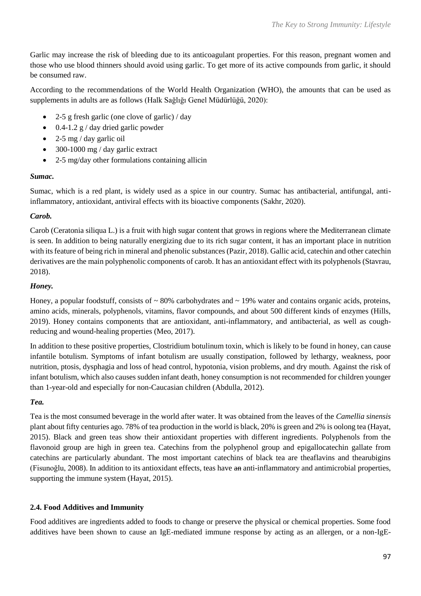Garlic may increase the risk of bleeding due to its anticoagulant properties. For this reason, pregnant women and those who use blood thinners should avoid using garlic. To get more of its active compounds from garlic, it should be consumed raw.

According to the recommendations of the World Health Organization (WHO), the amounts that can be used as supplements in adults are as follows (Halk Sağlığı Genel Müdürlüğü, 2020):

- 2-5 g fresh garlic (one clove of garlic) / day
- $\bullet$  0.4-1.2 g / day dried garlic powder
- $\bullet$  2-5 mg / day garlic oil
- 300-1000 mg / day garlic extract
- 2-5 mg/day other formulations containing allicin

#### *Sumac.*

Sumac, which is a red plant, is widely used as a spice in our country. Sumac has antibacterial, antifungal, antiinflammatory, antioxidant, antiviral effects with its bioactive components (Sakhr, 2020).

## *Carob.*

Carob (Ceratonia siliqua L.) is a fruit with high sugar content that grows in regions where the Mediterranean climate is seen. In addition to being naturally energizing due to its rich sugar content, it has an important place in nutrition with its feature of being rich in mineral and phenolic substances (Pazir, 2018). Gallic acid, catechin and other catechin derivatives are the main polyphenolic components of carob. It has an antioxidant effect with its polyphenols (Stavrau, 2018).

## *Honey.*

Honey, a popular foodstuff, consists of  $\sim 80\%$  carbohydrates and  $\sim 19\%$  water and contains organic acids, proteins, amino acids, minerals, polyphenols, vitamins, flavor compounds, and about 500 different kinds of enzymes (Hills, 2019). Honey contains components that are antioxidant, anti-inflammatory, and antibacterial, as well as coughreducing and wound-healing properties (Meo, 2017).

In addition to these positive properties, Clostridium botulinum toxin, which is likely to be found in honey, can cause infantile botulism. Symptoms of infant botulism are usually constipation, followed by lethargy, weakness, poor nutrition, ptosis, dysphagia and loss of head control, hypotonia, vision problems, and dry mouth. Against the risk of infant botulism, which also causes sudden infant death, honey consumption is not recommended for children younger than 1-year-old and especially for non-Caucasian children (Abdulla, 2012).

## *Tea.*

Tea is the most consumed beverage in the world after water. It was obtained from the leaves of the *Camellia sinensis* plant about fifty centuries ago. 78% of tea production in the world is black, 20% is green and 2% is oolong tea (Hayat, 2015). Black and green teas show their antioxidant properties with different ingredients. Polyphenols from the flavonoid group are high in green tea. Catechins from the polyphenol group and epigallocatechin gallate from catechins are particularly abundant. The most important catechins of black tea are theaflavins and thearubigins (Fisunoğlu, 2008). In addition to its antioxidant effects, teas have an anti-inflammatory and antimicrobial properties, supporting the immune system (Hayat, 2015).

## **2.4. Food Additives and Immunity**

Food additives are ingredients added to foods to change or preserve the physical or chemical properties. Some food additives have been shown to cause an IgE-mediated immune response by acting as an allergen, or a non-IgE-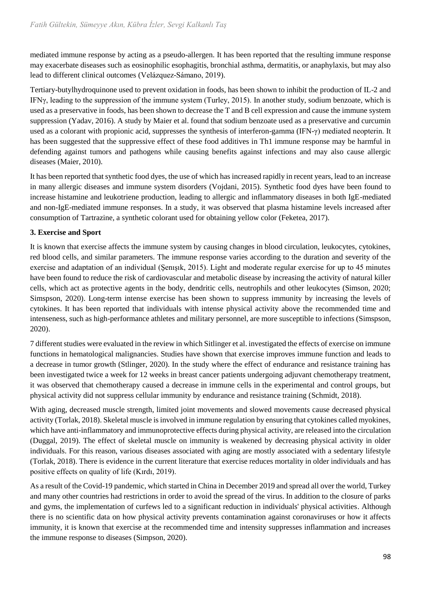mediated immune response by acting as a pseudo-allergen. It has been reported that the resulting immune response may exacerbate diseases such as eosinophilic esophagitis, bronchial asthma, dermatitis, or anaphylaxis, but may also lead to different clinical outcomes (Velázquez-Sámano, 2019).

Tertiary-butylhydroquinone used to prevent oxidation in foods, has been shown to inhibit the production of IL-2 and IFNγ, leading to the suppression of the immune system (Turley, 2015). In another study, sodium benzoate, which is used as a preservative in foods, has been shown to decrease the T and B cell expression and cause the immune system suppression (Yadav, 2016). A study by Maier et al. found that sodium benzoate used as a preservative and curcumin used as a colorant with propionic acid, suppresses the synthesis of interferon-gamma (IFN-γ) mediated neopterin. It has been suggested that the suppressive effect of these food additives in Th1 immune response may be harmful in defending against tumors and pathogens while causing benefits against infections and may also cause allergic diseases (Maier, 2010).

It has been reported that synthetic food dyes, the use of which has increased rapidly in recent years, lead to an increase in many allergic diseases and immune system disorders (Vojdani, 2015). Synthetic food dyes have been found to increase histamine and leukotriene production, leading to allergic and inflammatory diseases in both IgE-mediated and non-IgE-mediated immune responses. In a study, it was observed that plasma histamine levels increased after consumption of Tartrazine, a synthetic colorant used for obtaining yellow color (Feketea, 2017).

## **3. Exercise and Sport**

It is known that exercise affects the immune system by causing changes in blood circulation, leukocytes, cytokines, red blood cells, and similar parameters. The immune response varies according to the duration and severity of the exercise and adaptation of an individual (Şenışık, 2015). Light and moderate regular exercise for up to 45 minutes have been found to reduce the risk of cardiovascular and metabolic disease by increasing the activity of natural killer cells, which act as protective agents in the body, dendritic cells, neutrophils and other leukocytes (Simson, 2020; Simspson, 2020). Long-term intense exercise has been shown to suppress immunity by increasing the levels of cytokines. It has been reported that individuals with intense physical activity above the recommended time and intenseness, such as high-performance athletes and military personnel, are more susceptible to infections (Simspson, 2020).

7 different studies were evaluated in the review in which Sitlinger et al. investigated the effects of exercise on immune functions in hematological malignancies. Studies have shown that exercise improves immune function and leads to a decrease in tumor growth (Stlinger, 2020). In the study where the effect of endurance and resistance training has been investigated twice a week for 12 weeks in breast cancer patients undergoing adjuvant chemotherapy treatment, it was observed that chemotherapy caused a decrease in immune cells in the experimental and control groups, but physical activity did not suppress cellular immunity by endurance and resistance training (Schmidt, 2018).

With aging, decreased muscle strength, limited joint movements and slowed movements cause decreased physical activity (Torlak, 2018). Skeletal muscle is involved in immune regulation by ensuring that cytokines called myokines, which have anti-inflammatory and immunoprotective effects during physical activity, are released into the circulation (Duggal, 2019). The effect of skeletal muscle on immunity is weakened by decreasing physical activity in older individuals. For this reason, various diseases associated with aging are mostly associated with a sedentary lifestyle (Torlak, 2018). There is evidence in the current literature that exercise reduces mortality in older individuals and has positive effects on quality of life (Kırdı, 2019).

As a result of the Covid-19 pandemic, which started in China in December 2019 and spread all over the world, Turkey and many other countries had restrictions in order to avoid the spread of the virus. In addition to the closure of parks and gyms, the implementation of curfews led to a significant reduction in individuals' physical activities. Although there is no scientific data on how physical activity prevents contamination against coronaviruses or how it affects immunity, it is known that exercise at the recommended time and intensity suppresses inflammation and increases the immune response to diseases (Simpson, 2020).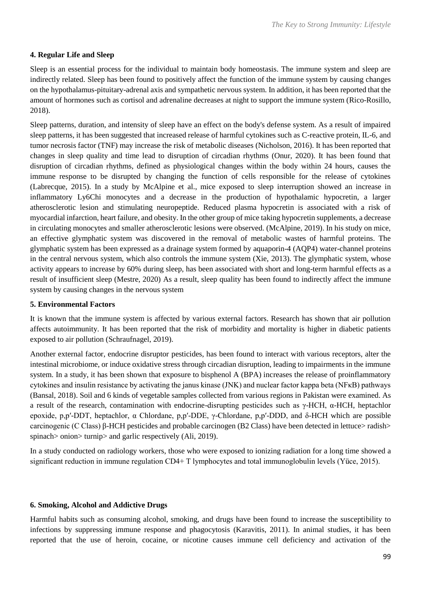## **4. Regular Life and Sleep**

Sleep is an essential process for the individual to maintain body homeostasis. The immune system and sleep are indirectly related. Sleep has been found to positively affect the function of the immune system by causing changes on the hypothalamus-pituitary-adrenal axis and sympathetic nervous system. In addition, it has been reported that the amount of hormones such as cortisol and adrenaline decreases at night to support the immune system (Rico-Rosillo, 2018).

Sleep patterns, duration, and intensity of sleep have an effect on the body's defense system. As a result of impaired sleep patterns, it has been suggested that increased release of harmful cytokines such as C-reactive protein, IL-6, and tumor necrosis factor (TNF) may increase the risk of metabolic diseases (Nicholson, 2016). It has been reported that changes in sleep quality and time lead to disruption of circadian rhythms (Onur, 2020). It has been found that disruption of circadian rhythms, defined as physiological changes within the body within 24 hours, causes the immune response to be disrupted by changing the function of cells responsible for the release of cytokines (Labrecque, 2015). In a study by McAlpine et al., mice exposed to sleep interruption showed an increase in inflammatory Ly6Chi monocytes and a decrease in the production of hypothalamic hypocretin, a larger atherosclerotic lesion and stimulating neuropeptide. Reduced plasma hypocretin is associated with a risk of myocardial infarction, heart failure, and obesity. In the other group of mice taking hypocretin supplements, a decrease in circulating monocytes and smaller atherosclerotic lesions were observed. (McAlpine, 2019). In his study on mice, an effective glymphatic system was discovered in the removal of metabolic wastes of harmful proteins. The glymphatic system has been expressed as a drainage system formed by aquaporin-4 (AQP4) water-channel proteins in the central nervous system, which also controls the immune system (Xie, 2013). The glymphatic system, whose activity appears to increase by 60% during sleep, has been associated with short and long-term harmful effects as a result of insufficient sleep (Mestre, 2020) As a result, sleep quality has been found to indirectly affect the immune system by causing changes in the nervous system

## **5. Environmental Factors**

It is known that the immune system is affected by various external factors. Research has shown that air pollution affects autoimmunity. It has been reported that the risk of morbidity and mortality is higher in diabetic patients exposed to air pollution (Schraufnagel, 2019).

Another external factor, endocrine disruptor pesticides, has been found to interact with various receptors, alter the intestinal microbiome, or induce oxidative stress through circadian disruption, leading to impairments in the immune system. In a study, it has been shown that exposure to bisphenol A (BPA) increases the release of proinflammatory cytokines and insulin resistance by activating the janus kinase (JNK) and nuclear factor kappa beta (NFκB) pathways (Bansal, 2018). Soil and 6 kinds of vegetable samples collected from various regions in Pakistan were examined. As a result of the research, contamination with endocrine-disrupting pesticides such as γ-HCH, α-HCH, heptachlor epoxide, p,p′-DDT, heptachlor, α Chlordane, p,p′-DDE, γ-Chlordane, p,p′-DDD, and δ-HCH which are possible carcinogenic (C Class) β-HCH pesticides and probable carcinogen (B2 Class) have been detected in lettuce> radish> spinach > onion > turnip > and garlic respectively (Ali, 2019).

In a study conducted on radiology workers, those who were exposed to ionizing radiation for a long time showed a significant reduction in immune regulation CD4+ T lymphocytes and total immunoglobulin levels (Yüce, 2015).

#### **6. Smoking, Alcohol and Addictive Drugs**

Harmful habits such as consuming alcohol, smoking, and drugs have been found to increase the susceptibility to infections by suppressing immune response and phagocytosis (Karavitis, 2011). In animal studies, it has been reported that the use of heroin, cocaine, or nicotine causes immune cell deficiency and activation of the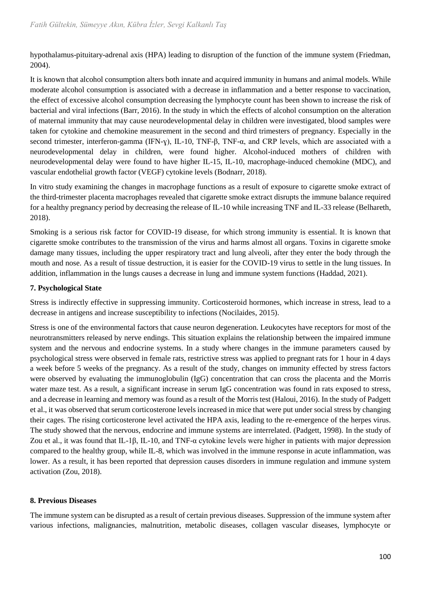hypothalamus-pituitary-adrenal axis (HPA) leading to disruption of the function of the immune system (Friedman, 2004).

It is known that alcohol consumption alters both innate and acquired immunity in humans and animal models. While moderate alcohol consumption is associated with a decrease in inflammation and a better response to vaccination, the effect of excessive alcohol consumption decreasing the lymphocyte count has been shown to increase the risk of bacterial and viral infections (Barr, 2016). In the study in which the effects of alcohol consumption on the alteration of maternal immunity that may cause neurodevelopmental delay in children were investigated, blood samples were taken for cytokine and chemokine measurement in the second and third trimesters of pregnancy. Especially in the second trimester, interferon-gamma (IFN-ɣ), IL-10, TNF-β, TNF-α, and CRP levels, which are associated with a neurodevelopmental delay in children, were found higher. Alcohol-induced mothers of children with neurodevelopmental delay were found to have higher IL-15, IL-10, macrophage-induced chemokine (MDC), and vascular endothelial growth factor (VEGF) cytokine levels (Bodnarr, 2018).

In vitro study examining the changes in macrophage functions as a result of exposure to cigarette smoke extract of the third-trimester placenta macrophages revealed that cigarette smoke extract disrupts the immune balance required for a healthy pregnancy period by decreasing the release of IL-10 while increasing TNF and IL-33 release (Belhareth, 2018).

Smoking is a serious risk factor for COVID-19 disease, for which strong immunity is essential. It is known that cigarette smoke contributes to the transmission of the virus and harms almost all organs. Toxins in cigarette smoke damage many tissues, including the upper respiratory tract and lung alveoli, after they enter the body through the mouth and nose. As a result of tissue destruction, it is easier for the COVID-19 virus to settle in the lung tissues. In addition, inflammation in the lungs causes a decrease in lung and immune system functions (Haddad, 2021).

## **7. Psychological State**

Stress is indirectly effective in suppressing immunity. Corticosteroid hormones, which increase in stress, lead to a decrease in antigens and increase susceptibility to infections (Nocilaides, 2015).

Stress is one of the environmental factors that cause neuron degeneration. Leukocytes have receptors for most of the neurotransmitters released by nerve endings. This situation explains the relationship between the impaired immune system and the nervous and endocrine systems. In a study where changes in the immune parameters caused by psychological stress were observed in female rats, restrictive stress was applied to pregnant rats for 1 hour in 4 days a week before 5 weeks of the pregnancy. As a result of the study, changes on immunity effected by stress factors were observed by evaluating the immunoglobulin (IgG) concentration that can cross the placenta and the Morris water maze test. As a result, a significant increase in serum IgG concentration was found in rats exposed to stress, and a decrease in learning and memory was found as a result of the Morris test (Haloui, 2016). In the study of Padgett et al., it was observed that serum corticosterone levels increased in mice that were put under social stress by changing their cages. The rising corticosterone level activated the HPA axis, leading to the re-emergence of the herpes virus. The study showed that the nervous, endocrine and immune systems are interrelated. (Padgett, 1998). In the study of Zou et al., it was found that IL-1β, IL-10, and TNF-α cytokine levels were higher in patients with major depression compared to the healthy group, while IL-8, which was involved in the immune response in acute inflammation, was lower. As a result, it has been reported that depression causes disorders in immune regulation and immune system activation (Zou, 2018).

## **8. Previous Diseases**

The immune system can be disrupted as a result of certain previous diseases. Suppression of the immune system after various infections, malignancies, malnutrition, metabolic diseases, collagen vascular diseases, lymphocyte or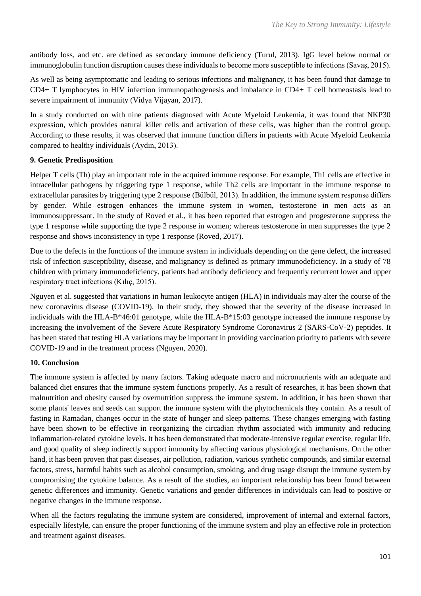antibody loss, and etc. are defined as secondary immune deficiency (Turul, 2013). IgG level below normal or immunoglobulin function disruption causes these individuals to become more susceptible to infections (Savaş, 2015).

As well as being asymptomatic and leading to serious infections and malignancy, it has been found that damage to CD4+ T lymphocytes in HIV infection immunopathogenesis and imbalance in CD4+ T cell homeostasis lead to severe impairment of immunity (Vidya Vijayan, 2017).

In a study conducted on with nine patients diagnosed with Acute Myeloid Leukemia, it was found that NKP30 expression, which provides natural killer cells and activation of these cells, was higher than the control group. According to these results, it was observed that immune function differs in patients with Acute Myeloid Leukemia compared to healthy individuals (Aydın, 2013).

## **9. Genetic Predisposition**

Helper T cells (Th) play an important role in the acquired immune response. For example, Th1 cells are effective in intracellular pathogens by triggering type 1 response, while Th2 cells are important in the immune response to extracellular parasites by triggering type 2 response (Bülbül, 2013). In addition, the immune system response differs by gender. While estrogen enhances the immune system in women, testosterone in men acts as an immunosuppressant. In the study of Roved et al., it has been reported that estrogen and progesterone suppress the type 1 response while supporting the type 2 response in women; whereas testosterone in men suppresses the type 2 response and shows inconsistency in type 1 response (Roved, 2017).

Due to the defects in the functions of the immune system in individuals depending on the gene defect, the increased risk of infection susceptibility, disease, and malignancy is defined as primary immunodeficiency. In a study of 78 children with primary immunodeficiency, patients had antibody deficiency and frequently recurrent lower and upper respiratory tract infections (Kılıç, 2015).

Nguyen et al. suggested that variations in human leukocyte antigen (HLA) in individuals may alter the course of the new coronavirus disease (COVID-19). In their study, they showed that the severity of the disease increased in individuals with the HLA-B\*46:01 genotype, while the HLA-B\*15:03 genotype increased the immune response by increasing the involvement of the Severe Acute Respiratory Syndrome Coronavirus 2 (SARS-CoV-2) peptides. It has been stated that testing HLA variations may be important in providing vaccination priority to patients with severe COVID-19 and in the treatment process (Nguyen, 2020).

## **10. Conclusion**

The immune system is affected by many factors. Taking adequate macro and micronutrients with an adequate and balanced diet ensures that the immune system functions properly. As a result of researches, it has been shown that malnutrition and obesity caused by overnutrition suppress the immune system. In addition, it has been shown that some plants' leaves and seeds can support the immune system with the phytochemicals they contain. As a result of fasting in Ramadan, changes occur in the state of hunger and sleep patterns. These changes emerging with fasting have been shown to be effective in reorganizing the circadian rhythm associated with immunity and reducing inflammation-related cytokine levels. It has been demonstrated that moderate-intensive regular exercise, regular life, and good quality of sleep indirectly support immunity by affecting various physiological mechanisms. On the other hand, it has been proven that past diseases, air pollution, radiation, various synthetic compounds, and similar external factors, stress, harmful habits such as alcohol consumption, smoking, and drug usage disrupt the immune system by compromising the cytokine balance. As a result of the studies, an important relationship has been found between genetic differences and immunity. Genetic variations and gender differences in individuals can lead to positive or negative changes in the immune response.

When all the factors regulating the immune system are considered, improvement of internal and external factors, especially lifestyle, can ensure the proper functioning of the immune system and play an effective role in protection and treatment against diseases.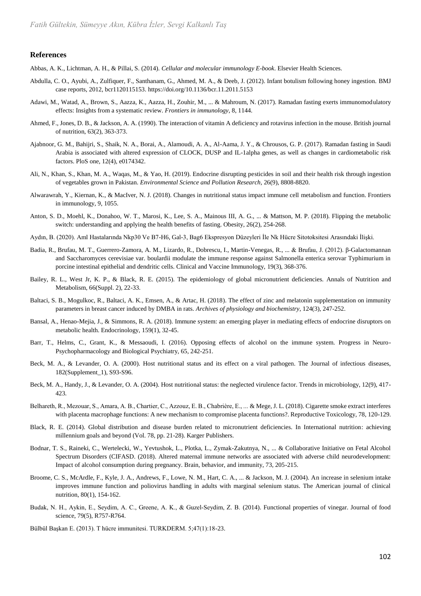#### **References**

Abbas, A. K., Lichtman, A. H., & Pillai, S. (2014). *Cellular and molecular immunology E-book*. Elsevier Health Sciences.

- Abdulla, C. O., Ayubi, A., Zulfiquer, F., Santhanam, G., Ahmed, M. A., & Deeb, J. (2012). Infant botulism following honey ingestion. BMJ case reports, 2012, bcr1120115153[. https://doi.org/10.1136/bcr.11.2011.5153](https://doi.org/10.1136/bcr.11.2011.5153)
- Adawi, M., Watad, A., Brown, S., Aazza, K., Aazza, H., Zouhir, M., ... & Mahroum, N. (2017). Ramadan fasting exerts immunomodulatory effects: Insights from a systematic review. *Frontiers in immunology*, 8, 1144.
- Ahmed, F., Jones, D. B., & Jackson, A. A. (1990). The interaction of vitamin A deficiency and rotavirus infection in the mouse. British journal of nutrition, 63(2), 363-373.
- Ajabnoor, G. M., Bahijri, S., Shaik, N. A., Borai, A., Alamoudi, A. A., Al-Aama, J. Y., & Chrousos, G. P. (2017). Ramadan fasting in Saudi Arabia is associated with altered expression of CLOCK, DUSP and IL-1alpha genes, as well as changes in cardiometabolic risk factors. PloS one, 12(4), e0174342.
- Ali, N., Khan, S., Khan, M. A., Waqas, M., & Yao, H. (2019). Endocrine disrupting pesticides in soil and their health risk through ingestion of vegetables grown in Pakistan. *Environmental Science and Pollution Research*, 26(9), 8808-8820.
- Alwarawrah, Y., Kiernan, K., & MacIver, N. J. (2018). Changes in nutritional status impact immune cell metabolism and function. Frontiers in immunology, 9, 1055.
- Anton, S. D., Moehl, K., Donahoo, W. T., Marosi, K., Lee, S. A., Mainous III, A. G., ... & Mattson, M. P. (2018). Flipping the metabolic switch: understanding and applying the health benefits of fasting. Obesity, 26(2), 254-268.
- Aydın, B. (2020). Aml Hastalarında Nkp30 Ve B7-H6, Gal-3, Bag6 Ekspresyon Düzeyleri İle Nk Hücre Sitotoksitesi Arasındaki İlişki.
- Badia, R., Brufau, M. T., Guerrero-Zamora, A. M., Lizardo, R., Dobrescu, I., Martin-Venegas, R., ... & Brufau, J. (2012). β-Galactomannan and Saccharomyces cerevisiae var. boulardii modulate the immune response against Salmonella enterica serovar Typhimurium in porcine intestinal epithelial and dendritic cells. Clinical and Vaccine Immunology, 19(3), 368-376.
- Bailey, R. L., West Jr, K. P., & Black, R. E. (2015). The epidemiology of global micronutrient deficiencies. Annals of Nutrition and Metabolism, 66(Suppl. 2), 22-33.
- Baltaci, S. B., Mogulkoc, R., Baltaci, A. K., Emsen, A., & Artac, H. (2018). The effect of zinc and melatonin supplementation on immunity parameters in breast cancer induced by DMBA in rats. *Archives of physiology and biochemistry*, 124(3), 247-252.
- Bansal, A., Henao-Mejia, J., & Simmons, R. A. (2018). Immune system: an emerging player in mediating effects of endocrine disruptors on metabolic health. Endocrinology, 159(1), 32-45.
- Barr, T., Helms, C., Grant, K., & Messaoudi, I. (2016). Opposing effects of alcohol on the immune system. Progress in Neuro-Psychopharmacology and Biological Psychiatry, 65, 242-251.
- Beck, M. A., & Levander, O. A. (2000). Host nutritional status and its effect on a viral pathogen. The Journal of infectious diseases, 182(Supplement\_1), S93-S96.
- Beck, M. A., Handy, J., & Levander, O. A. (2004). Host nutritional status: the neglected virulence factor. Trends in microbiology, 12(9), 417- 423.
- Belhareth, R., Mezouar, S., Amara, A. B., Chartier, C., Azzouz, E. B., Chabrière, E., ... & Mege, J. L. (2018). Cigarette smoke extract interferes with placenta macrophage functions: A new mechanism to compromise placenta functions?. Reproductive Toxicology, 78, 120-129.
- Black, R. E. (2014). Global distribution and disease burden related to micronutrient deficiencies. In International nutrition: achieving millennium goals and beyond (Vol. 78, pp. 21-28). Karger Publishers.
- Bodnar, T. S., Raineki, C., Wertelecki, W., Yevtushok, L., Plotka, L., Zymak-Zakutnya, N., ... & Collaborative Initiative on Fetal Alcohol Spectrum Disorders (CIFASD. (2018). Altered maternal immune networks are associated with adverse child neurodevelopment: Impact of alcohol consumption during pregnancy. Brain, behavior, and immunity, 73, 205-215.
- Broome, C. S., McArdle, F., Kyle, J. A., Andrews, F., Lowe, N. M., Hart, C. A., ... & Jackson, M. J. (2004). An increase in selenium intake improves immune function and poliovirus handling in adults with marginal selenium status. The American journal of clinical nutrition, 80(1), 154-162.
- Budak, N. H., Aykin, E., Seydim, A. C., Greene, A. K., & Guzel‐Seydim, Z. B. (2014). Functional properties of vinegar. Journal of food science, 79(5), R757-R764.
- Bülbül Başkan E. (2013). T hücre immunitesi. TURKDERM. 5;47(1):18-23.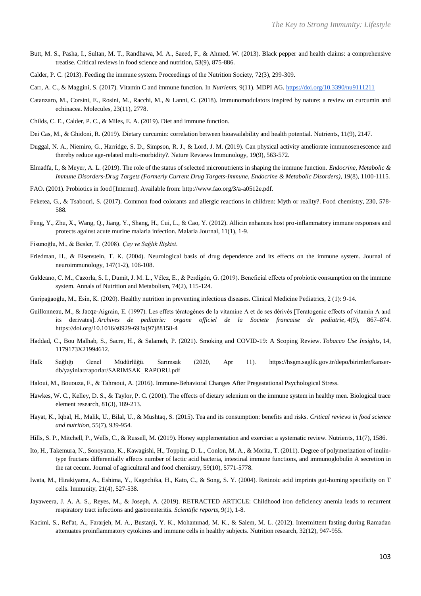- Butt, M. S., Pasha, I., Sultan, M. T., Randhawa, M. A., Saeed, F., & Ahmed, W. (2013). Black pepper and health claims: a comprehensive treatise. Critical reviews in food science and nutrition, 53(9), 875-886.
- Calder, P. C. (2013). Feeding the immune system. Proceedings of the Nutrition Society, 72(3), 299-309.
- Carr, A. C., & Maggini, S. (2017). Vitamin C and immune function. In *Nutrients,* 9(11). MDPI AG[. https://doi.org/10.3390/nu9111211](https://doi.org/10.3390/nu9111211)
- Catanzaro, M., Corsini, E., Rosini, M., Racchi, M., & Lanni, C. (2018). Immunomodulators inspired by nature: a review on curcumin and echinacea. Molecules, 23(11), 2778.
- Childs, C. E., Calder, P. C., & Miles, E. A. (2019). Diet and immune function.
- Dei Cas, M., & Ghidoni, R. (2019). Dietary curcumin: correlation between bioavailability and health potential. Nutrients, 11(9), 2147.
- Duggal, N. A., Niemiro, G., Harridge, S. D., Simpson, R. J., & Lord, J. M. (2019). Can physical activity ameliorate immunosenescence and thereby reduce age-related multi-morbidity?. Nature Reviews Immunology, 19(9), 563-572.
- Elmadfa, I., & Meyer, A. L. (2019). The role of the status of selected micronutrients in shaping the immune function. *Endocrine, Metabolic & Immune Disorders-Drug Targets (Formerly Current Drug Targets-Immune, Endocrine & Metabolic Disorders),* 19(8), 1100-1115.
- FAO. (2001). Probiotics in food [Internet]. Available from: http://www.fao.org/3/a-a0512e.pdf.
- Feketea, G., & Tsabouri, S. (2017). Common food colorants and allergic reactions in children: Myth or reality?. Food chemistry, 230, 578- 588.
- Feng, Y., Zhu, X., Wang, Q., Jiang, Y., Shang, H., Cui, L., & Cao, Y. (2012). Allicin enhances host pro-inflammatory immune responses and protects against acute murine malaria infection. Malaria Journal, 11(1), 1-9.
- Fisunoğlu, M., & Besler, T. (2008). *Çay ve Sağlık İlişkisi*.
- Friedman, H., & Eisenstein, T. K. (2004). Neurological basis of drug dependence and its effects on the immune system. Journal of neuroimmunology, 147(1-2), 106-108.
- Galdeano, C. M., Cazorla, S. I., Dumit, J. M. L., Vélez, E., & Perdigón, G. (2019). Beneficial effects of probiotic consumption on the immune system. Annals of Nutrition and Metabolism, 74(2), 115-124.
- Garipağaoğlu, M., Esin, K. (2020). Healthy nutrition in preventing infectious diseases. Clinical Medicine Pediatrics, 2 (1): 9-14.
- Guillonneau, M., & Jacqz-Aigrain, E. (1997). Les effets tératogènes de la vitamine A et de ses dérivés [Teratogenic effects of vitamin A and its derivates]. *Archives de pediatrie: organe officiel de la Societe francaise de pediatrie,* 4(9), 867–874. https://doi.org/10.1016/s0929-693x(97)88158-4
- Haddad, C., Bou Malhab, S., Sacre, H., & Salameh, P. (2021). Smoking and COVID-19: A Scoping Review. *Tobacco Use Insights*, 14, 1179173X21994612.
- Halk Sağlığı Genel Müdürlüğü. Sarımsak (2020, Apr 11). [https://hsgm.saglik.gov.tr/depo/birimler/kanser](https://hsgm.saglik.gov.tr/depo/birimler/kanser-db/yayinlar/raporlar/SARIMSAK_RAPORU.pdf)[db/yayinlar/raporlar/SARIMSAK\\_RAPORU.pdf](https://hsgm.saglik.gov.tr/depo/birimler/kanser-db/yayinlar/raporlar/SARIMSAK_RAPORU.pdf)
- Haloui, M., Bououza, F., & Tahraoui, A. (2016). Immune-Behavioral Changes After Pregestational Psychological Stress.
- Hawkes, W. C., Kelley, D. S., & Taylor, P. C. (2001). The effects of dietary selenium on the immune system in healthy men. Biological trace element research, 81(3), 189-213.
- Hayat, K., Iqbal, H., Malik, U., Bilal, U., & Mushtaq, S. (2015). Tea and its consumption: benefits and risks. *Critical reviews in food science and nutrition,* 55(7), 939-954.
- Hills, S. P., Mitchell, P., Wells, C., & Russell, M. (2019). Honey supplementation and exercise: a systematic review. Nutrients, 11(7), 1586.
- Ito, H., Takemura, N., Sonoyama, K., Kawagishi, H., Topping, D. L., Conlon, M. A., & Morita, T. (2011). Degree of polymerization of inulintype fructans differentially affects number of lactic acid bacteria, intestinal immune functions, and immunoglobulin A secretion in the rat cecum. Journal of agricultural and food chemistry, 59(10), 5771-5778.
- Iwata, M., Hirakiyama, A., Eshima, Y., Kagechika, H., Kato, C., & Song, S. Y. (2004). Retinoic acid imprints gut-homing specificity on T cells. Immunity, 21(4), 527-538.
- Jayaweera, J. A. A. S., Reyes, M., & Joseph, A. (2019). RETRACTED ARTICLE: Childhood iron deficiency anemia leads to recurrent respiratory tract infections and gastroenteritis. *Scientific reports*, 9(1), 1-8.
- Kacimi, S., Ref'at, A., Fararjeh, M. A., Bustanji, Y. K., Mohammad, M. K., & Salem, M. L. (2012). Intermittent fasting during Ramadan attenuates proinflammatory cytokines and immune cells in healthy subjects. Nutrition research, 32(12), 947-955.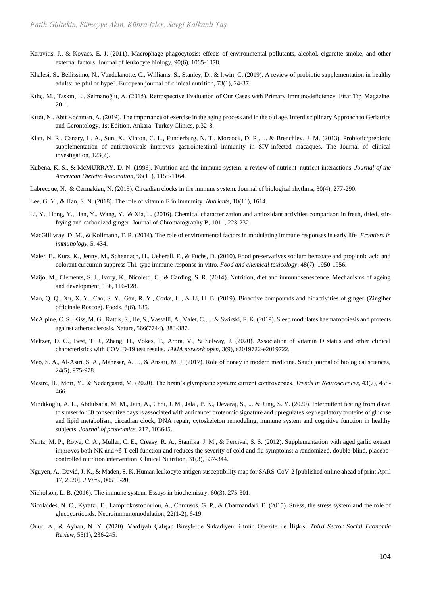- Karavitis, J., & Kovacs, E. J. (2011). Macrophage phagocytosis: effects of environmental pollutants, alcohol, cigarette smoke, and other external factors. Journal of leukocyte biology, 90(6), 1065-1078.
- Khalesi, S., Bellissimo, N., Vandelanotte, C., Williams, S., Stanley, D., & Irwin, C. (2019). A review of probiotic supplementation in healthy adults: helpful or hype?. European journal of clinical nutrition, 73(1), 24-37.
- Kılıç, M., Taşkın, E., Selmanoğlu, A. (2015). Retrospective Evaluation of Our Cases with Primary Immunodeficiency. Firat Tip Magazine. 20.1.
- Kırdı, N., Abit Kocaman, A. (2019). The importance of exercise in the aging process and in the old age. Interdisciplinary Approach to Geriatrics and Gerontology. 1st Edition. Ankara: Turkey Clinics, p.32-8.
- Klatt, N. R., Canary, L. A., Sun, X., Vinton, C. L., Funderburg, N. T., Morcock, D. R., ... & Brenchley, J. M. (2013). Probiotic/prebiotic supplementation of antiretrovirals improves gastrointestinal immunity in SIV-infected macaques. The Journal of clinical investigation, 123(2).
- Kubena, K. S., & McMURRAY, D. N. (1996). Nutrition and the immune system: a review of nutrient–nutrient interactions. *Journal of the American Dietetic Association*, 96(11), 1156-1164.
- Labrecque, N., & Cermakian, N. (2015). Circadian clocks in the immune system. Journal of biological rhythms, 30(4), 277-290.
- Lee, G. Y., & Han, S. N. (2018). The role of vitamin E in immunity. *Nutrients*, 10(11), 1614.
- Li, Y., Hong, Y., Han, Y., Wang, Y., & Xia, L. (2016). Chemical characterization and antioxidant activities comparison in fresh, dried, stirfrying and carbonized ginger. Journal of Chromatography B, 1011, 223-232.
- MacGillivray, D. M., & Kollmann, T. R. (2014). The role of environmental factors in modulating immune responses in early life. *Frontiers in immunology*, 5, 434.
- Maier, E., Kurz, K., Jenny, M., Schennach, H., Ueberall, F., & Fuchs, D. (2010). Food preservatives sodium benzoate and propionic acid and colorant curcumin suppress Th1-type immune response in vitro. *Food and chemical toxicology*, 48(7), 1950-1956.
- Maijo, M., Clements, S. J., Ivory, K., Nicoletti, C., & Carding, S. R. (2014). Nutrition, diet and immunosenescence. Mechanisms of ageing and development, 136, 116-128.
- Mao, Q. Q., Xu, X. Y., Cao, S. Y., Gan, R. Y., Corke, H., & Li, H. B. (2019). Bioactive compounds and bioactivities of ginger (Zingiber officinale Roscoe). Foods, 8(6), 185.
- McAlpine, C. S., Kiss, M. G., Rattik, S., He, S., Vassalli, A., Valet, C., ... & Swirski, F. K. (2019). Sleep modulates haematopoiesis and protects against atherosclerosis. Nature, 566(7744), 383-387.
- Meltzer, D. O., Best, T. J., Zhang, H., Vokes, T., Arora, V., & Solway, J. (2020). Association of vitamin D status and other clinical characteristics with COVID-19 test results. *JAMA network open*, 3(9), e2019722-e2019722.
- Meo, S. A., Al-Asiri, S. A., Mahesar, A. L., & Ansari, M. J. (2017). Role of honey in modern medicine. Saudi journal of biological sciences, 24(5), 975-978.
- Mestre, H., Mori, Y., & Nedergaard, M. (2020). The brain's glymphatic system: current controversies. *Trends in Neurosciences*, 43(7), 458- 466.
- Mindikoglu, A. L., Abdulsada, M. M., Jain, A., Choi, J. M., Jalal, P. K., Devaraj, S., ... & Jung, S. Y. (2020). Intermittent fasting from dawn to sunset for 30 consecutive days is associated with anticancer proteomic signature and upregulates key regulatory proteins of glucose and lipid metabolism, circadian clock, DNA repair, cytoskeleton remodeling, immune system and cognitive function in healthy subjects. *Journal of proteomics*, 217, 103645.
- Nantz, M. P., Rowe, C. A., Muller, C. E., Creasy, R. A., Stanilka, J. M., & Percival, S. S. (2012). Supplementation with aged garlic extract improves both NK and γδ-T cell function and reduces the severity of cold and flu symptoms: a randomized, double-blind, placebocontrolled nutrition intervention. Clinical Nutrition, 31(3), 337-344.
- Nguyen, A., David, J. K., & Maden, S. K. Human leukocyte antigen susceptibility map for SARS-CoV-2 [published online ahead of print April 17, 2020]. *J Virol*, 00510-20.
- Nicholson, L. B. (2016). The immune system. Essays in biochemistry, 60(3), 275-301.
- Nicolaides, N. C., Kyratzi, E., Lamprokostopoulou, A., Chrousos, G. P., & Charmandari, E. (2015). Stress, the stress system and the role of glucocorticoids. Neuroimmunomodulation, 22(1-2), 6-19.
- Onur, A., & Ayhan, N. Y. (2020). Vardiyalı Çalışan Bireylerde Sirkadiyen Ritmin Obezite ile İlişkisi. *Third Sector Social Economic Review*, 55(1), 236-245.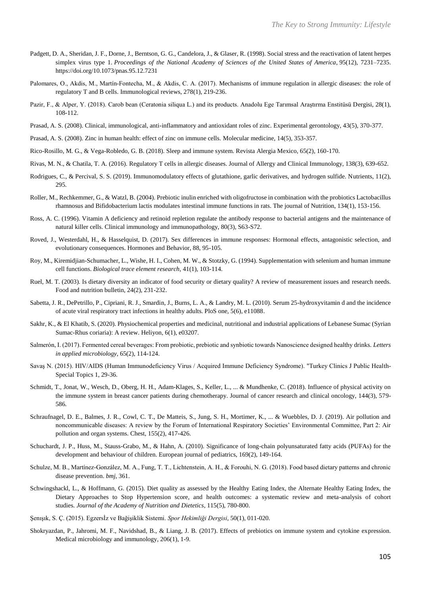- Padgett, D. A., Sheridan, J. F., Dorne, J., Berntson, G. G., Candelora, J., & Glaser, R. (1998). Social stress and the reactivation of latent herpes simplex virus type 1. *Proceedings of the National Academy of Sciences of the United States of America*, 95(12), 7231–7235. https://doi.org/10.1073/pnas.95.12.7231
- Palomares, O., Akdis, M., Martín‐Fontecha, M., & Akdis, C. A. (2017). Mechanisms of immune regulation in allergic diseases: the role of regulatory T and B cells. Immunological reviews, 278(1), 219-236.
- Pazir, F., & Alper, Y. (2018). Carob bean (Ceratonia siliqua L.) and its products. Anadolu Ege Tarımsal Araştırma Enstitüsü Dergisi, 28(1), 108-112.
- Prasad, A. S. (2008). Clinical, immunological, anti-inflammatory and antioxidant roles of zinc. Experimental gerontology, 43(5), 370-377.
- Prasad, A. S. (2008). Zinc in human health: effect of zinc on immune cells. Molecular medicine, 14(5), 353-357.
- Rico-Rosillo, M. G., & Vega-Robledo, G. B. (2018). Sleep and immune system. Revista Alergia Mexico, 65(2), 160-170.
- Rivas, M. N., & Chatila, T. A. (2016). Regulatory T cells in allergic diseases. Journal of Allergy and Clinical Immunology, 138(3), 639-652.
- Rodrigues, C., & Percival, S. S. (2019). Immunomodulatory effects of glutathione, garlic derivatives, and hydrogen sulfide. Nutrients, 11(2), 295.
- Roller, M., Rechkemmer, G., & Watzl, B. (2004). Prebiotic inulin enriched with oligofructose in combination with the probiotics Lactobacillus rhamnosus and Bifidobacterium lactis modulates intestinal immune functions in rats. The journal of Nutrition, 134(1), 153-156.
- Ross, A. C. (1996). Vitamin A deficiency and retinoid repletion regulate the antibody response to bacterial antigens and the maintenance of natural killer cells. Clinical immunology and immunopathology, 80(3), S63-S72.
- Roved, J., Westerdahl, H., & Hasselquist, D. (2017). Sex differences in immune responses: Hormonal effects, antagonistic selection, and evolutionary consequences. Hormones and Behavior, 88, 95-105.
- Roy, M., Kiremidjian-Schumacher, L., Wishe, H. I., Cohen, M. W., & Stotzky, G. (1994). Supplementation with selenium and human immune cell functions. *Biological trace element research*, 41(1), 103-114.
- Ruel, M. T. (2003). Is dietary diversity an indicator of food security or dietary quality? A review of measurement issues and research needs. Food and nutrition bulletin, 24(2), 231-232.
- Sabetta, J. R., DePetrillo, P., Cipriani, R. J., Smardin, J., Burns, L. A., & Landry, M. L. (2010). Serum 25-hydroxyvitamin d and the incidence of acute viral respiratory tract infections in healthy adults. PloS one, 5(6), e11088.
- Sakhr, K., & El Khatib, S. (2020). Physiochemical properties and medicinal, nutritional and industrial applications of Lebanese Sumac (Syrian Sumac-Rhus coriaria): A review. Heliyon, 6(1), e03207.
- Salmerón, I. (2017). Fermented cereal beverages: From probiotic, prebiotic and synbiotic towards Nanoscience designed healthy drinks. *Letters in applied microbiology*, 65(2), 114-124.
- Savaş N. (2015). HIV/AIDS (Human Immunodeficiency Virus / Acquired Immune Deficiency Syndrome). "Turkey Clinics J Public Health-Special Topics 1, 29-36.
- Schmidt, T., Jonat, W., Wesch, D., Oberg, H. H., Adam-Klages, S., Keller, L., ... & Mundhenke, C. (2018). Influence of physical activity on the immune system in breast cancer patients during chemotherapy. Journal of cancer research and clinical oncology, 144(3), 579- 586.
- Schraufnagel, D. E., Balmes, J. R., Cowl, C. T., De Matteis, S., Jung, S. H., Mortimer, K., ... & Wuebbles, D. J. (2019). Air pollution and noncommunicable diseases: A review by the Forum of International Respiratory Societies' Environmental Committee, Part 2: Air pollution and organ systems. Chest, 155(2), 417-426.
- Schuchardt, J. P., Huss, M., Stauss-Grabo, M., & Hahn, A. (2010). Significance of long-chain polyunsaturated fatty acids (PUFAs) for the development and behaviour of children. European journal of pediatrics, 169(2), 149-164.
- Schulze, M. B., Martínez-González, M. A., Fung, T. T., Lichtenstein, A. H., & Forouhi, N. G. (2018). Food based dietary patterns and chronic disease prevention. *bmj*, 361.
- Schwingshackl, L., & Hoffmann, G. (2015). Diet quality as assessed by the Healthy Eating Index, the Alternate Healthy Eating Index, the Dietary Approaches to Stop Hypertension score, and health outcomes: a systematic review and meta-analysis of cohort studies. *Journal of the Academy of Nutrition and Dietetics*, 115(5), 780-800.
- Şenışık, S. Ç. (2015). Egzersİz ve Bağişiklik Sistemi. *Spor Hekimliği Dergisi*, 50(1), 011-020.
- Shokryazdan, P., Jahromi, M. F., Navidshad, B., & Liang, J. B. (2017). Effects of prebiotics on immune system and cytokine expression. Medical microbiology and immunology, 206(1), 1-9.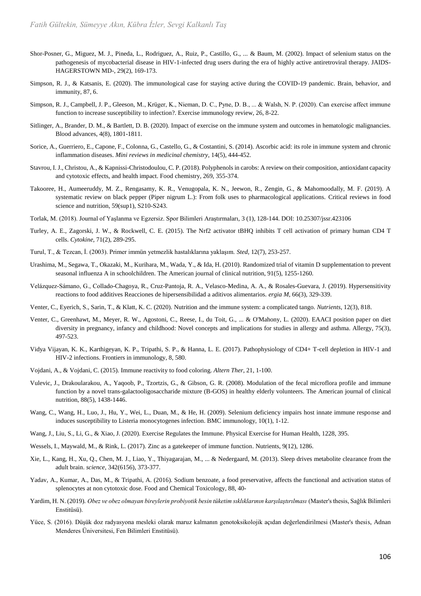- Shor-Posner, G., Miguez, M. J., Pineda, L., Rodriguez, A., Ruiz, P., Castillo, G., ... & Baum, M. (2002). Impact of selenium status on the pathogenesis of mycobacterial disease in HIV-1-infected drug users during the era of highly active antiretroviral therapy. JAIDS-HAGERSTOWN MD-, 29(2), 169-173.
- Simpson, R. J., & Katsanis, E. (2020). The immunological case for staying active during the COVID-19 pandemic. Brain, behavior, and immunity, 87, 6.
- Simpson, R. J., Campbell, J. P., Gleeson, M., Krüger, K., Nieman, D. C., Pyne, D. B., ... & Walsh, N. P. (2020). Can exercise affect immune function to increase susceptibility to infection?. Exercise immunology review, 26, 8-22.
- Sitlinger, A., Brander, D. M., & Bartlett, D. B. (2020). Impact of exercise on the immune system and outcomes in hematologic malignancies. Blood advances, 4(8), 1801-1811.
- Sorice, A., Guerriero, E., Capone, F., Colonna, G., Castello, G., & Costantini, S. (2014). Ascorbic acid: its role in immune system and chronic inflammation diseases. *Mini reviews in medicinal chemistry*, 14(5), 444-452.
- Stavrou, I. J., Christou, A., & Kapnissi-Christodoulou, C. P. (2018). Polyphenols in carobs: A review on their composition, antioxidant capacity and cytotoxic effects, and health impact. Food chemistry, 269, 355-374.
- Takooree, H., Aumeeruddy, M. Z., Rengasamy, K. R., Venugopala, K. N., Jeewon, R., Zengin, G., & Mahomoodally, M. F. (2019). A systematic review on black pepper (Piper nigrum L.): From folk uses to pharmacological applications. Critical reviews in food science and nutrition, 59(sup1), S210-S243.
- Torlak, M. (2018). Journal of Yaşlanma ve Egzersiz. Spor Bilimleri Araştırmaları, 3 (1), 128-144. DOI: 10.25307/jssr.423106
- Turley, A. E., Zagorski, J. W., & Rockwell, C. E. (2015). The Nrf2 activator tBHQ inhibits T cell activation of primary human CD4 T cells. *Cytokine*, 71(2), 289-295.
- Turul, T., & Tezcan, İ. (2003). Primer immün yetmezlik hastalıklarına yaklaşım. *Sted*, 12(7), 253-257.
- Urashima, M., Segawa, T., Okazaki, M., Kurihara, M., Wada, Y., & Ida, H. (2010). Randomized trial of vitamin D supplementation to prevent seasonal influenza A in schoolchildren. The American journal of clinical nutrition, 91(5), 1255-1260.
- Velázquez-Sámano, G., Collado-Chagoya, R., Cruz-Pantoja, R. A., Velasco-Medina, A. A., & Rosales-Guevara, J. (2019). Hypersensitivity reactions to food additives Reacciones de hipersensibilidad a aditivos alimentarios. *ergia M*, 66(3), 329-339.
- Venter, C., Eyerich, S., Sarin, T., & Klatt, K. C. (2020). Nutrition and the immune system: a complicated tango. *Nutrients*, 12(3), 818.
- Venter, C., Greenhawt, M., Meyer, R. W., Agostoni, C., Reese, I., du Toit, G., ... & O'Mahony, L. (2020). EAACI position paper on diet diversity in pregnancy, infancy and childhood: Novel concepts and implications for studies in allergy and asthma. Allergy, 75(3), 497-523.
- Vidya Vijayan, K. K., Karthigeyan, K. P., Tripathi, S. P., & Hanna, L. E. (2017). Pathophysiology of CD4+ T-cell depletion in HIV-1 and HIV-2 infections. Frontiers in immunology, 8, 580.
- Vojdani, A., & Vojdani, C. (2015). Immune reactivity to food coloring. *Altern Ther*, 21, 1-100.
- Vulevic, J., Drakoularakou, A., Yaqoob, P., Tzortzis, G., & Gibson, G. R. (2008). Modulation of the fecal microflora profile and immune function by a novel trans-galactooligosaccharide mixture (B-GOS) in healthy elderly volunteers. The American journal of clinical nutrition, 88(5), 1438-1446.
- Wang, C., Wang, H., Luo, J., Hu, Y., Wei, L., Duan, M., & He, H. (2009). Selenium deficiency impairs host innate immune response and induces susceptibility to Listeria monocytogenes infection. BMC immunology, 10(1), 1-12.
- Wang, J., Liu, S., Li, G., & Xiao, J. (2020). Exercise Regulates the Immune. Physical Exercise for Human Health, 1228, 395.
- Wessels, I., Maywald, M., & Rink, L. (2017). Zinc as a gatekeeper of immune function. Nutrients, 9(12), 1286.
- Xie, L., Kang, H., Xu, Q., Chen, M. J., Liao, Y., Thiyagarajan, M., ... & Nedergaard, M. (2013). Sleep drives metabolite clearance from the adult brain. *science*, 342(6156), 373-377.
- Yadav, A., Kumar, A., Das, M., & Tripathi, A. (2016). Sodium benzoate, a food preservative, affects the functional and activation status of splenocytes at non cytotoxic dose. Food and Chemical Toxicology, 88, 40-
- Yardim, H. N. (2019). *Obez ve obez olmayan bireylerin probiyotik besin tüketim sıklıklarının karşılaştırılması* (Master's thesis, Sağlık Bilimleri Enstitüsü).
- Yüce, S. (2016). Düşük doz radyasyona mesleki olarak maruz kalmanın genotoksikolojik açıdan değerlendirilmesi (Master's thesis, Adnan Menderes Üniversitesi, Fen Bilimleri Enstitüsü).